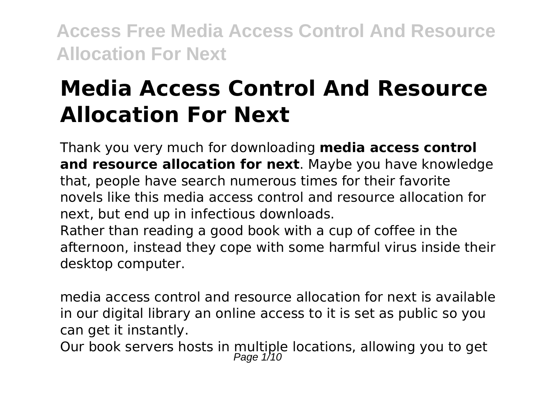# **Media Access Control And Resource Allocation For Next**

Thank you very much for downloading **media access control and resource allocation for next**. Maybe you have knowledge that, people have search numerous times for their favorite novels like this media access control and resource allocation for next, but end up in infectious downloads.

Rather than reading a good book with a cup of coffee in the afternoon, instead they cope with some harmful virus inside their desktop computer.

media access control and resource allocation for next is available in our digital library an online access to it is set as public so you can get it instantly.

Our book servers hosts in multiple locations, allowing you to get<br> $_{Page 1/10}^{Page 1/10}$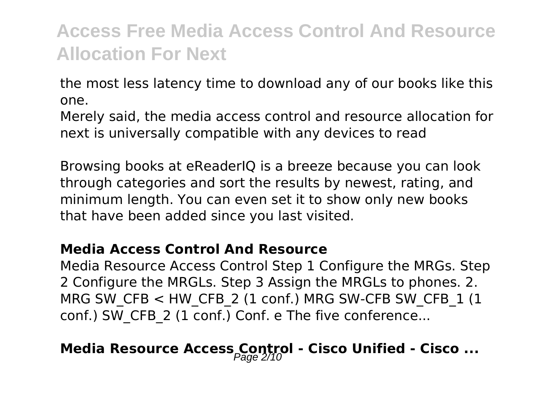the most less latency time to download any of our books like this one.

Merely said, the media access control and resource allocation for next is universally compatible with any devices to read

Browsing books at eReaderIQ is a breeze because you can look through categories and sort the results by newest, rating, and minimum length. You can even set it to show only new books that have been added since you last visited.

#### **Media Access Control And Resource**

Media Resource Access Control Step 1 Configure the MRGs. Step 2 Configure the MRGLs. Step 3 Assign the MRGLs to phones. 2. MRG SW\_CFB  $<$  HW\_CFB\_2 (1 conf.) MRG SW-CFB SW\_CFB\_1 (1 conf.) SW\_CFB\_2 (1 conf.) Conf. e The five conference...

### **Media Resource Access Control - Cisco Unified - Cisco ...**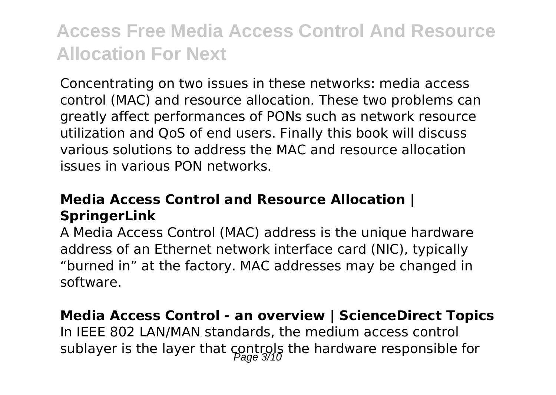Concentrating on two issues in these networks: media access control (MAC) and resource allocation. These two problems can greatly affect performances of PONs such as network resource utilization and QoS of end users. Finally this book will discuss various solutions to address the MAC and resource allocation issues in various PON networks.

### **Media Access Control and Resource Allocation | SpringerLink**

A Media Access Control (MAC) address is the unique hardware address of an Ethernet network interface card (NIC), typically "burned in" at the factory. MAC addresses may be changed in software.

### **Media Access Control - an overview | ScienceDirect Topics**

In IEEE 802 LAN/MAN standards, the medium access control sublayer is the layer that controls the hardware responsible for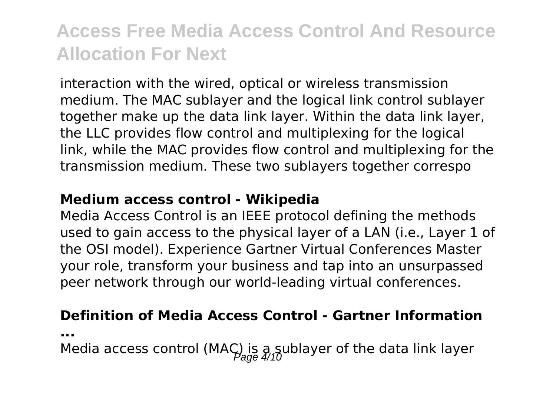interaction with the wired, optical or wireless transmission medium. The MAC sublayer and the logical link control sublayer together make up the data link layer. Within the data link layer, the LLC provides flow control and multiplexing for the logical link, while the MAC provides flow control and multiplexing for the transmission medium. These two sublayers together correspo

#### **Medium access control - Wikipedia**

Media Access Control is an IEEE protocol defining the methods used to gain access to the physical layer of a LAN (i.e., Layer 1 of the OSI model). Experience Gartner Virtual Conferences Master your role, transform your business and tap into an unsurpassed peer network through our world-leading virtual conferences.

#### **Definition of Media Access Control - Gartner Information**

**...**

Media access control (MAC) is a sublayer of the data link layer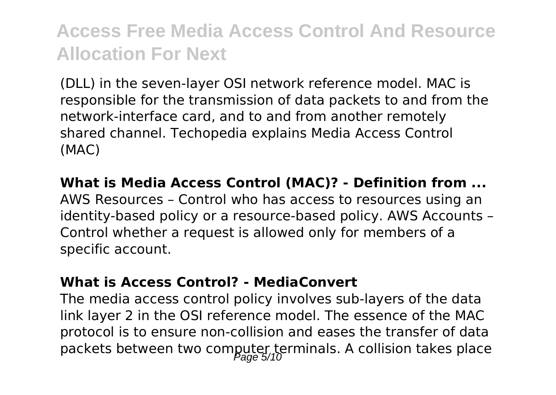(DLL) in the seven-layer OSI network reference model. MAC is responsible for the transmission of data packets to and from the network-interface card, and to and from another remotely shared channel. Techopedia explains Media Access Control (MAC)

**What is Media Access Control (MAC)? - Definition from ...** AWS Resources – Control who has access to resources using an identity-based policy or a resource-based policy. AWS Accounts – Control whether a request is allowed only for members of a specific account.

#### **What is Access Control? - MediaConvert**

The media access control policy involves sub-layers of the data link layer 2 in the OSI reference model. The essence of the MAC protocol is to ensure non-collision and eases the transfer of data packets between two computer terminals. A collision takes place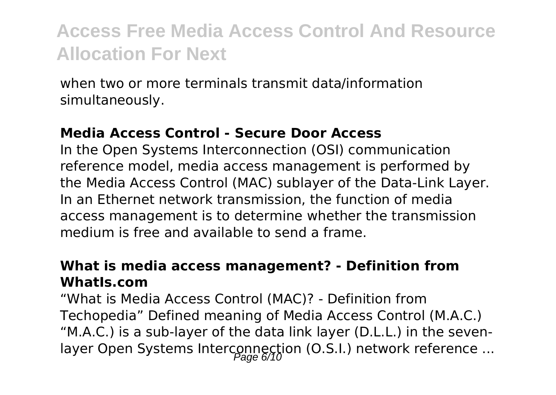when two or more terminals transmit data/information simultaneously.

#### **Media Access Control - Secure Door Access**

In the Open Systems Interconnection (OSI) communication reference model, media access management is performed by the Media Access Control (MAC) sublayer of the Data-Link Layer. In an Ethernet network transmission, the function of media access management is to determine whether the transmission medium is free and available to send a frame.

#### **What is media access management? - Definition from WhatIs.com**

"What is Media Access Control (MAC)? - Definition from Techopedia" Defined meaning of Media Access Control (M.A.C.) "M.A.C.) is a sub-layer of the data link layer (D.L.L.) in the sevenlayer Open Systems Interconnection (O.S.I.) network reference ...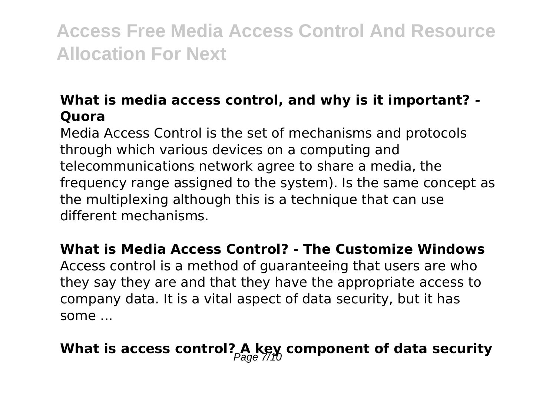### **What is media access control, and why is it important? - Quora**

Media Access Control is the set of mechanisms and protocols through which various devices on a computing and telecommunications network agree to share a media, the frequency range assigned to the system). Is the same concept as the multiplexing although this is a technique that can use different mechanisms.

#### **What is Media Access Control? - The Customize Windows**

Access control is a method of guaranteeing that users are who they say they are and that they have the appropriate access to company data. It is a vital aspect of data security, but it has some ...

### What is access control? A key component of data security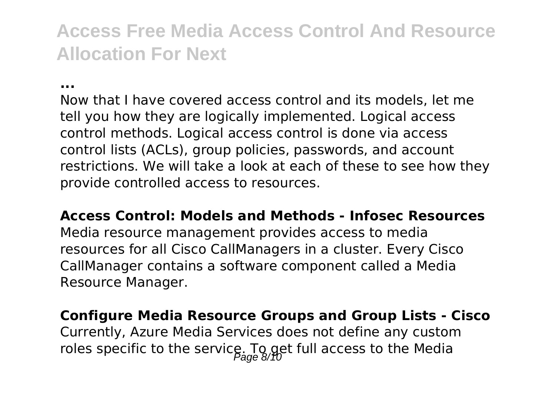**...**

Now that I have covered access control and its models, let me tell you how they are logically implemented. Logical access control methods. Logical access control is done via access control lists (ACLs), group policies, passwords, and account restrictions. We will take a look at each of these to see how they provide controlled access to resources.

**Access Control: Models and Methods - Infosec Resources** Media resource management provides access to media resources for all Cisco CallManagers in a cluster. Every Cisco CallManager contains a software component called a Media Resource Manager.

**Configure Media Resource Groups and Group Lists - Cisco** Currently, Azure Media Services does not define any custom roles specific to the service. To get full access to the Media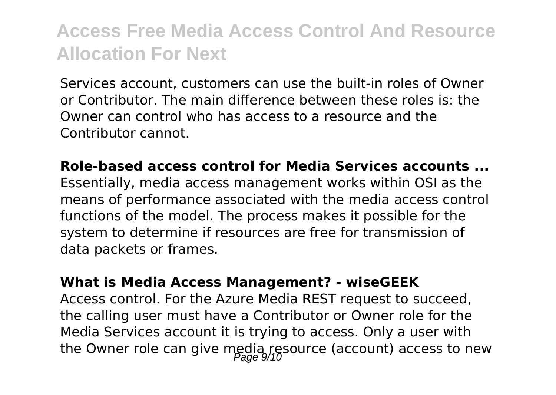Services account, customers can use the built-in roles of Owner or Contributor. The main difference between these roles is: the Owner can control who has access to a resource and the Contributor cannot.

**Role-based access control for Media Services accounts ...** Essentially, media access management works within OSI as the means of performance associated with the media access control functions of the model. The process makes it possible for the system to determine if resources are free for transmission of data packets or frames.

#### **What is Media Access Management? - wiseGEEK**

Access control. For the Azure Media REST request to succeed, the calling user must have a Contributor or Owner role for the Media Services account it is trying to access. Only a user with the Owner role can give media resource (account) access to new